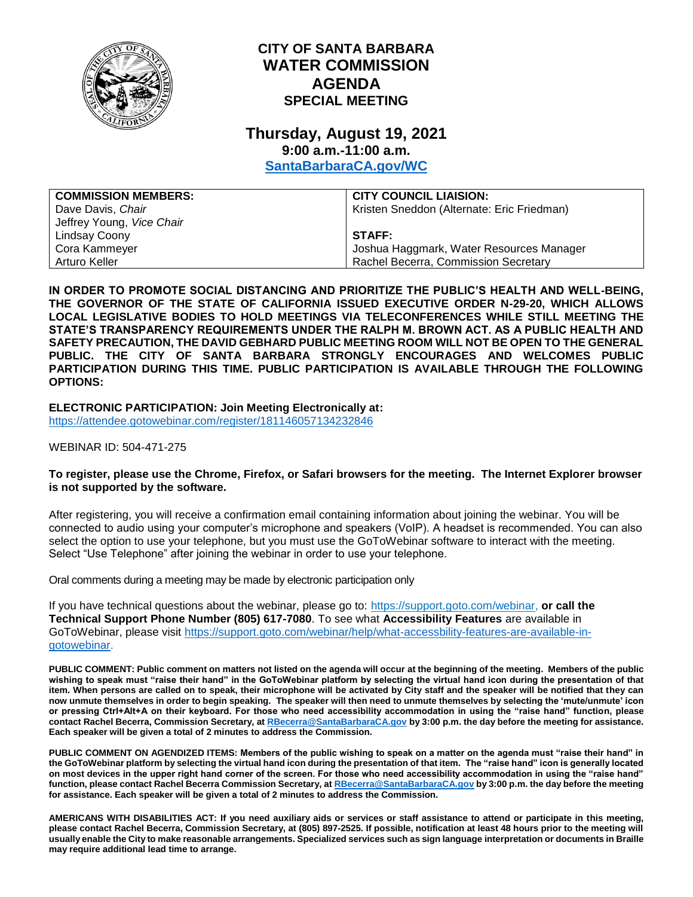

# **CITY OF SANTA BARBARA WATER COMMISSION AGENDA SPECIAL MEETING**

### **Thursday, August 19, 2021 9:00 a.m.-11:00 a.m.**

**[SantaBarbaraCA.gov/WC](http://www.santabarbaraca.gov/wc)**

| <b>COMMISSION MEMBERS:</b> | <b>CITY COUNCIL LIAISION:</b>              |
|----------------------------|--------------------------------------------|
| Dave Davis, Chair          | Kristen Sneddon (Alternate: Eric Friedman) |
| Jeffrey Young, Vice Chair  |                                            |
| Lindsay Coony              | STAFF:                                     |
| Cora Kammeyer              | Joshua Haggmark, Water Resources Manager   |
| Arturo Keller              | Rachel Becerra, Commission Secretary       |

**IN ORDER TO PROMOTE SOCIAL DISTANCING AND PRIORITIZE THE PUBLIC'S HEALTH AND WELL-BEING, THE GOVERNOR OF THE STATE OF CALIFORNIA ISSUED EXECUTIVE ORDER N-29-20, WHICH ALLOWS LOCAL LEGISLATIVE BODIES TO HOLD MEETINGS VIA TELECONFERENCES WHILE STILL MEETING THE STATE'S TRANSPARENCY REQUIREMENTS UNDER THE RALPH M. BROWN ACT. AS A PUBLIC HEALTH AND SAFETY PRECAUTION, THE DAVID GEBHARD PUBLIC MEETING ROOM WILL NOT BE OPEN TO THE GENERAL PUBLIC. THE CITY OF SANTA BARBARA STRONGLY ENCOURAGES AND WELCOMES PUBLIC PARTICIPATION DURING THIS TIME. PUBLIC PARTICIPATION IS AVAILABLE THROUGH THE FOLLOWING OPTIONS:**

**ELECTRONIC PARTICIPATION: Join Meeting Electronically at:** <https://attendee.gotowebinar.com/register/181146057134232846>

WEBINAR ID: 504-471-275

#### **To register, please use the Chrome, Firefox, or Safari browsers for the meeting. The Internet Explorer browser is not supported by the software.**

After registering, you will receive a confirmation email containing information about joining the webinar. You will be connected to audio using your computer's microphone and speakers (VoIP). A headset is recommended. You can also select the option to use your telephone, but you must use the GoToWebinar software to interact with the meeting. Select "Use Telephone" after joining the webinar in order to use your telephone.

Oral comments during a meeting may be made by electronic participation only

If you have technical questions about the webinar, please go to: [https://support.goto.com/webinar,](https://support.goto.com/webinar) **or call the Technical Support Phone Number (805) 617-7080**. To see what **Accessibility Features** are available in GoToWebinar, please visit [https://support.goto.com/webinar/help/what-accessbility-features-are-available-in](https://support.goto.com/webinar/help/what-accessbility-features-are-available-in-gotowebinar)[gotowebinar.](https://support.goto.com/webinar/help/what-accessbility-features-are-available-in-gotowebinar)

**PUBLIC COMMENT: Public comment on matters not listed on the agenda will occur at the beginning of the meeting. Members of the public wishing to speak must "raise their hand" in the GoToWebinar platform by selecting the virtual hand icon during the presentation of that item. When persons are called on to speak, their microphone will be activated by City staff and the speaker will be notified that they can now unmute themselves in order to begin speaking. The speaker will then need to unmute themselves by selecting the 'mute/unmute' icon or pressing Ctrl+Alt+A on their keyboard. For those who need accessibility accommodation in using the "raise hand" function, please contact Rachel Becerra, Commission Secretary, a[t RBecerra@SantaBarbaraCA.gov](mailto:RBecerra@SantaBarbaraCA.gov) by 3:00 p.m. the day before the meeting for assistance. Each speaker will be given a total of 2 minutes to address the Commission.** 

**PUBLIC COMMENT ON AGENDIZED ITEMS: Members of the public wishing to speak on a matter on the agenda must "raise their hand" in the GoToWebinar platform by selecting the virtual hand icon during the presentation of that item. The "raise hand" icon is generally located on most devices in the upper right hand corner of the screen. For those who need accessibility accommodation in using the "raise hand" function, please contact Rachel Becerra Commission Secretary, a[t RBecerra@SantaBarbaraCA.gov](mailto:RBecerra@SantaBarbaraCA.gov) by 3:00 p.m. the day before the meeting for assistance. Each speaker will be given a total of 2 minutes to address the Commission.** 

**AMERICANS WITH DISABILITIES ACT: If you need auxiliary aids or services or staff assistance to attend or participate in this meeting, please contact Rachel Becerra, Commission Secretary, at (805) 897-2525. If possible, notification at least 48 hours prior to the meeting will usually enable the City to make reasonable arrangements. Specialized services such as sign language interpretation or documents in Braille may require additional lead time to arrange.**